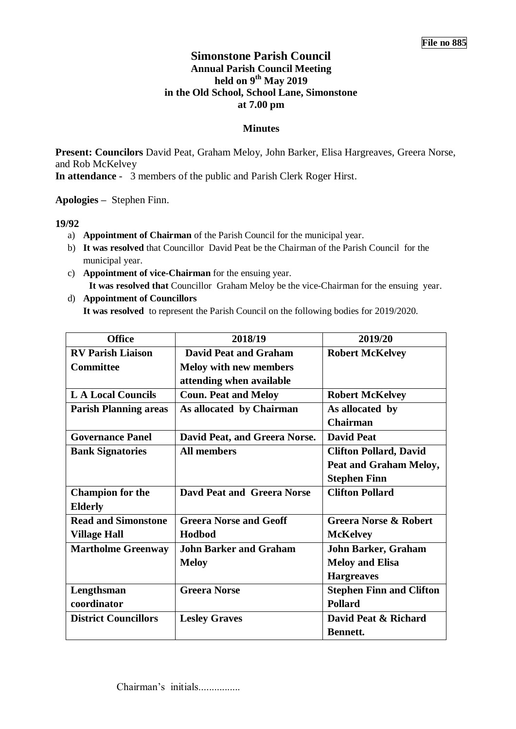# **Simonstone Parish Council Annual Parish Council Meeting held on 9 th May 2019 in the Old School, School Lane, Simonstone at 7.00 pm**

# **Minutes**

**Present: Councilors** David Peat, Graham Meloy, John Barker, Elisa Hargreaves, Greera Norse, and Rob McKelvey

**In attendance** - 3 members of the public and Parish Clerk Roger Hirst.

**Apologies –** Stephen Finn.

## **19/92**

- a) **Appointment of Chairman** of the Parish Council for the municipal year.
- b) **It was resolved** that Councillor David Peat be the Chairman of the Parish Council for the municipal year.
- c) **Appointment of vice-Chairman** for the ensuing year. **It was resolved that** Councillor Graham Meloy be the vice-Chairman for the ensuing year.
- d) **Appointment of Councillors It was resolved** to represent the Parish Council on the following bodies for 2019/2020.

| <b>Office</b>                | 2018/19                           | 2019/20                          |  |
|------------------------------|-----------------------------------|----------------------------------|--|
| <b>RV Parish Liaison</b>     | <b>David Peat and Graham</b>      | <b>Robert McKelvey</b>           |  |
| <b>Committee</b>             | <b>Meloy with new members</b>     |                                  |  |
|                              | attending when available          |                                  |  |
| <b>LA Local Councils</b>     | <b>Coun. Peat and Meloy</b>       | <b>Robert McKelvey</b>           |  |
| <b>Parish Planning areas</b> | As allocated by Chairman          | As allocated by                  |  |
|                              |                                   | <b>Chairman</b>                  |  |
| <b>Governance Panel</b>      | David Peat, and Greera Norse.     | <b>David Peat</b>                |  |
| <b>Bank Signatories</b>      | <b>All members</b>                | <b>Clifton Pollard, David</b>    |  |
|                              |                                   | Peat and Graham Meloy,           |  |
|                              |                                   | <b>Stephen Finn</b>              |  |
| <b>Champion for the</b>      | <b>Davd Peat and Greera Norse</b> | <b>Clifton Pollard</b>           |  |
| <b>Elderly</b>               |                                   |                                  |  |
| <b>Read and Simonstone</b>   | <b>Greera Norse and Geoff</b>     | <b>Greera Norse &amp; Robert</b> |  |
| <b>Village Hall</b>          | Hodbod                            | <b>McKelvey</b>                  |  |
| <b>Martholme Greenway</b>    | <b>John Barker and Graham</b>     | <b>John Barker, Graham</b>       |  |
|                              | <b>Meloy</b>                      | <b>Meloy and Elisa</b>           |  |
|                              |                                   | <b>Hargreaves</b>                |  |
| Lengthsman                   | <b>Greera Norse</b>               | <b>Stephen Finn and Clifton</b>  |  |
| coordinator                  |                                   | <b>Pollard</b>                   |  |
| <b>District Councillors</b>  | <b>Lesley Graves</b>              | David Peat & Richard             |  |
|                              |                                   | <b>Bennett.</b>                  |  |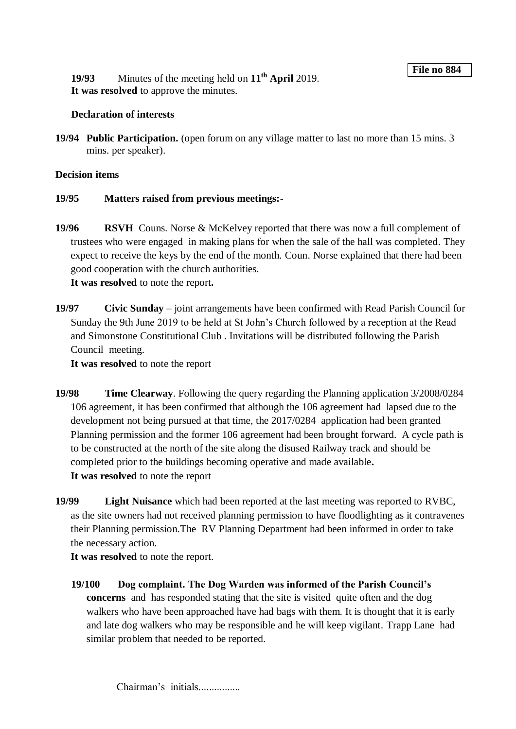**19/93** Minutes of the meeting held on **11th April** 2019. **It was resolved** to approve the minutes.

## **Declaration of interests**

**19/94 Public Participation.** (open forum on any village matter to last no more than 15 mins. 3 mins. per speaker).

#### **Decision items**

- **19/95 Matters raised from previous meetings:-**
- **19/96 RSVH** Couns. Norse & McKelvey reported that there was now a full complement of trustees who were engaged in making plans for when the sale of the hall was completed. They expect to receive the keys by the end of the month. Coun. Norse explained that there had been good cooperation with the church authorities.

**It was resolved** to note the report**.**

**19/97 Civic Sunday** – joint arrangements have been confirmed with Read Parish Council for Sunday the 9th June 2019 to be held at St John's Church followed by a reception at the Read and Simonstone Constitutional Club . Invitations will be distributed following the Parish Council meeting.

**It was resolved** to note the report

- **19/98 Time Clearway**. Following the query regarding the Planning application 3/2008/0284 106 agreement, it has been confirmed that although the 106 agreement had lapsed due to the development not being pursued at that time, the 2017/0284 application had been granted Planning permission and the former 106 agreement had been brought forward. A cycle path is to be constructed at the north of the site along the disused Railway track and should be completed prior to the buildings becoming operative and made available**. It was resolved** to note the report
- **19/99 Light Nuisance** which had been reported at the last meeting was reported to RVBC, as the site owners had not received planning permission to have floodlighting as it contravenes their Planning permission.The RV Planning Department had been informed in order to take the necessary action.

**It was resolved** to note the report.

**19/100 Dog complaint. The Dog Warden was informed of the Parish Council's concerns** and has responded stating that the site is visited quite often and the dog walkers who have been approached have had bags with them. It is thought that it is early and late dog walkers who may be responsible and he will keep vigilant. Trapp Lane had similar problem that needed to be reported.

Chairman's initials.................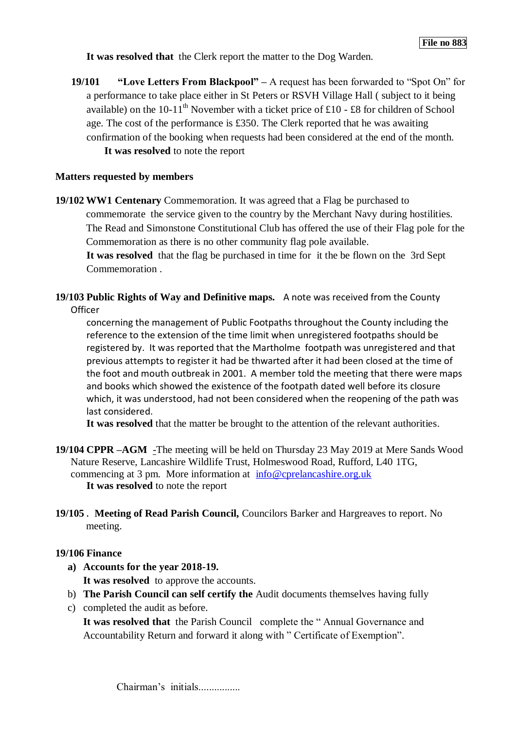**It was resolved that** the Clerk report the matter to the Dog Warden.

**19/101 "Love Letters From Blackpool" –** A request has been forwarded to "Spot On" for a performance to take place either in St Peters or RSVH Village Hall ( subject to it being available) on the 10-11<sup>th</sup> November with a ticket price of £10 - £8 for children of School age. The cost of the performance is £350. The Clerk reported that he was awaiting confirmation of the booking when requests had been considered at the end of the month. **It was resolved** to note the report

## **Matters requested by members**

**19/102 WW1 Centenary** Commemoration. It was agreed that a Flag be purchased to commemorate the service given to the country by the Merchant Navy during hostilities. The Read and Simonstone Constitutional Club has offered the use of their Flag pole for the Commemoration as there is no other community flag pole available.

**It was resolved** that the flag be purchased in time for it the be flown on the 3rd Sept Commemoration .

**19/103 Public Rights of Way and Definitive maps.** A note was received from the County **Officer** 

concerning the management of Public Footpaths throughout the County including the reference to the extension of the time limit when unregistered footpaths should be registered by. It was reported that the Martholme footpath was unregistered and that previous attempts to register it had be thwarted after it had been closed at the time of the foot and mouth outbreak in 2001. A member told the meeting that there were maps and books which showed the existence of the footpath dated well before its closure which, it was understood, had not been considered when the reopening of the path was last considered.

**It was resolved** that the matter be brought to the attention of the relevant authorities.

- **19/104 CPPR –AGM** -The meeting will be held on Thursday 23 May 2019 at Mere Sands Wood Nature Reserve, Lancashire Wildlife Trust, Holmeswood Road, Rufford, L40 1TG, commencing at 3 pm. More information at [info@cprelancashire.org.uk](mailto:info@cprelancashire.org.uk) **It was resolved** to note the report
- **19/105** . **Meeting of Read Parish Council,** Councilors Barker and Hargreaves to report. No meeting.

## **19/106 Finance**

- **a) Accounts for the year 2018-19. It was resolved** to approve the accounts.
- b) **The Parish Council can self certify the** Audit documents themselves having fully
- c) completed the audit as before.

**It was resolved that** the Parish Council complete the " Annual Governance and Accountability Return and forward it along with " Certificate of Exemption".